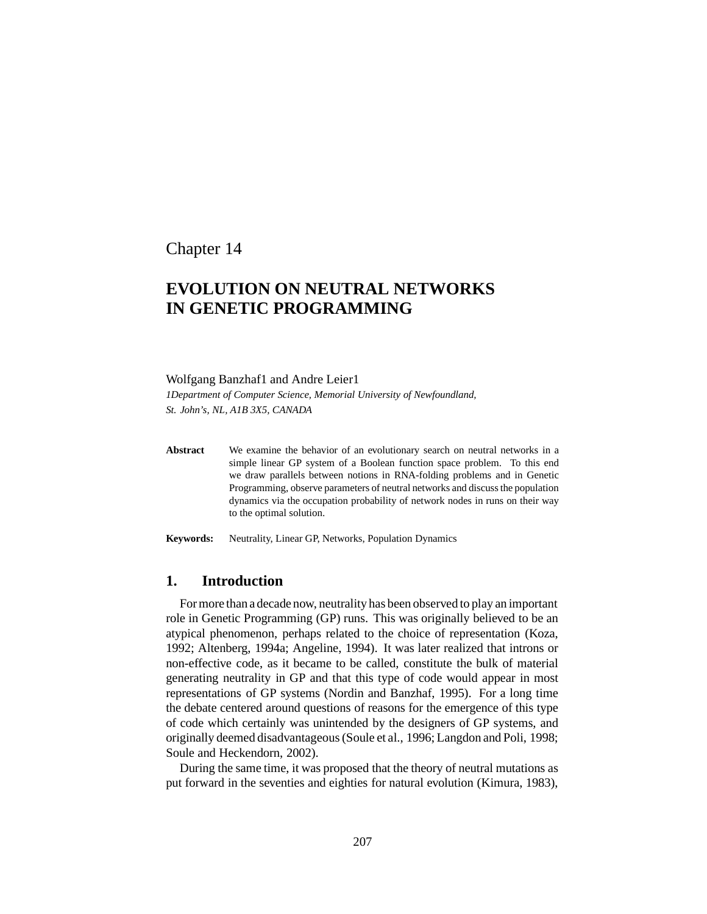Chapter 14

# **EVOLUTION ON NEUTRAL NETWORKS IN GENETIC PROGRAMMING**

#### Wolfgang Banzhaf1 and Andre Leier1

*1Department of Computer Science, Memorial University of Newfoundland, St. John's, NL, A1B 3X5, CANADA*

**Abstract** We examine the behavior of an evolutionary search on neutral networks in a simple linear GP system of a Boolean function space problem. To this end we draw parallels between notions in RNA-folding problems and in Genetic Programming, observe parameters of neutral networks and discuss the population dynamics via the occupation probability of network nodes in runs on their way to the optimal solution.

**Keywords:** Neutrality, Linear GP, Networks, Population Dynamics

### **1. Introduction**

Formore than a decade now, neutrality has been observed to play an important role in Genetic Programming (GP) runs. This was originally believed to be an atypical phenomenon, perhaps related to the choice of representation (Koza, 1992; Altenberg, 1994a; Angeline, 1994). It was later realized that introns or non-effective code, as it became to be called, constitute the bulk of material generating neutrality in GP and that this type of code would appear in most representations of GP systems (Nordin and Banzhaf, 1995). For a long time the debate centered around questions of reasons for the emergence of this type of code which certainly was unintended by the designers of GP systems, and originally deemed disadvantageous(Soule et al., 1996; Langdon and Poli, 1998; Soule and Heckendorn, 2002).

During the same time, it was proposed that the theory of neutral mutations as put forward in the seventies and eighties for natural evolution (Kimura, 1983),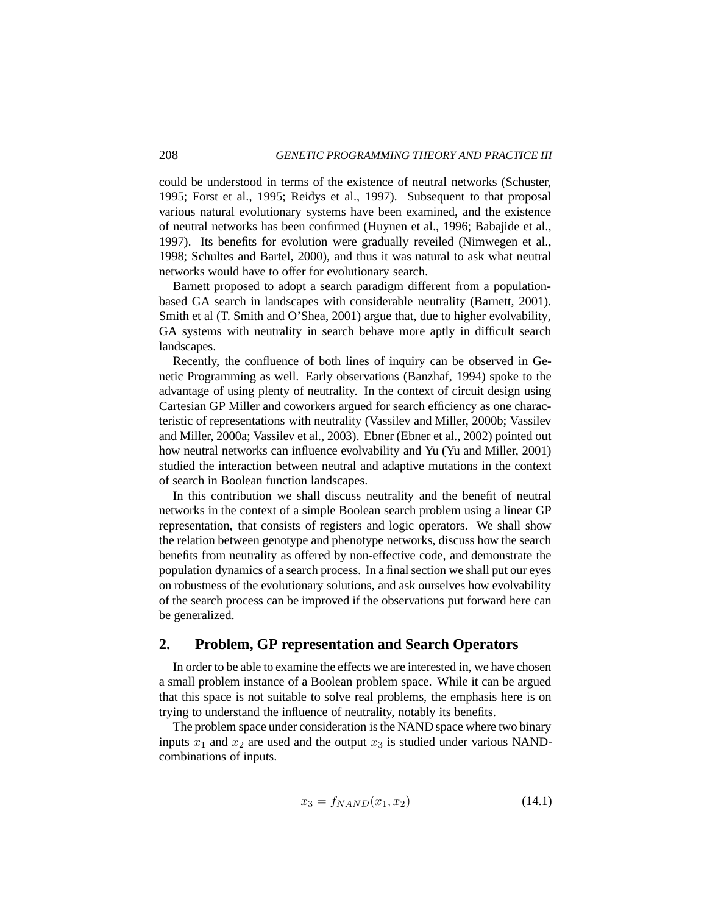could be understood in terms of the existence of neutral networks (Schuster, 1995; Forst et al., 1995; Reidys et al., 1997). Subsequent to that proposal various natural evolutionary systems have been examined, and the existence of neutral networks has been confirmed (Huynen et al., 1996; Babajide et al., 1997). Its benefits for evolution were gradually reveiled (Nimwegen et al., 1998; Schultes and Bartel, 2000), and thus it was natural to ask what neutral networks would have to offer for evolutionary search.

Barnett proposed to adopt a search paradigm different from a populationbased GA search in landscapes with considerable neutrality (Barnett, 2001). Smith et al (T. Smith and O'Shea, 2001) argue that, due to higher evolvability, GA systems with neutrality in search behave more aptly in difficult search landscapes.

Recently, the confluence of both lines of inquiry can be observed in Genetic Programming as well. Early observations (Banzhaf, 1994) spoke to the advantage of using plenty of neutrality. In the context of circuit design using Cartesian GP Miller and coworkers argued for search efficiency as one characteristic of representations with neutrality (Vassilev and Miller, 2000b; Vassilev and Miller, 2000a; Vassilev et al., 2003). Ebner (Ebner et al., 2002) pointed out how neutral networks can influence evolvability and Yu (Yu and Miller, 2001) studied the interaction between neutral and adaptive mutations in the context of search in Boolean function landscapes.

In this contribution we shall discuss neutrality and the benefit of neutral networks in the context of a simple Boolean search problem using a linear GP representation, that consists of registers and logic operators. We shall show the relation between genotype and phenotype networks, discuss how the search benefits from neutrality as offered by non-effective code, and demonstrate the population dynamics of a search process. In a final section we shall put our eyes on robustness of the evolutionary solutions, and ask ourselves how evolvability of the search process can be improved if the observations put forward here can be generalized.

### **2. Problem, GP representation and Search Operators**

In order to be able to examine the effects we are interested in, we have chosen a small problem instance of a Boolean problem space. While it can be argued that this space is not suitable to solve real problems, the emphasis here is on trying to understand the influence of neutrality, notably its benefits.

The problem space under consideration is the NAND space where two binary inputs  $x_1$  and  $x_2$  are used and the output  $x_3$  is studied under various NANDcombinations of inputs.

$$
x_3 = f_{NAND}(x_1, x_2)
$$
 (14.1)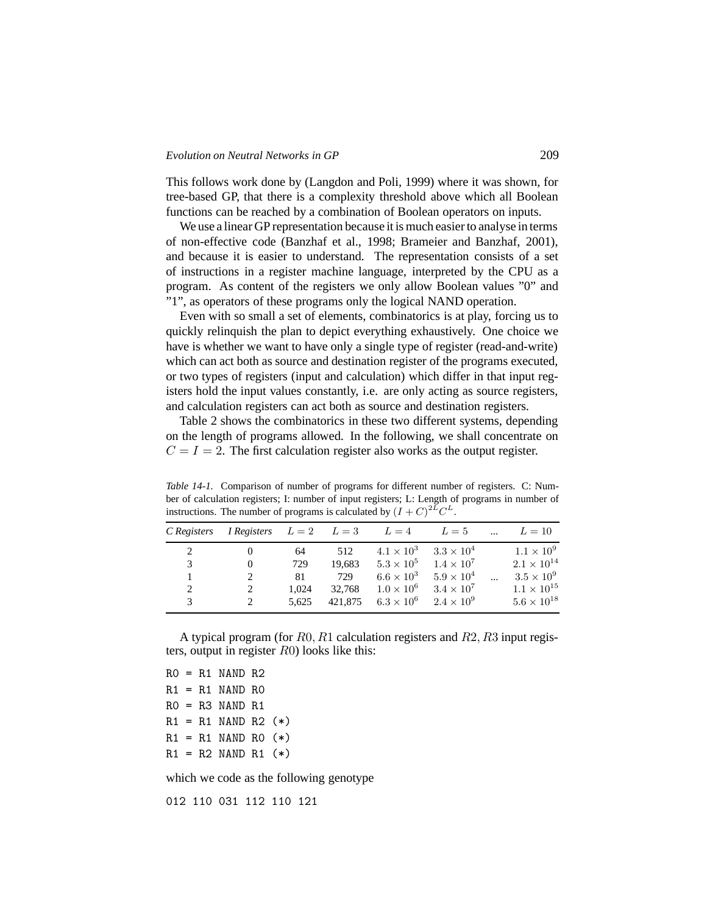#### *Evolution on Neutral Networks in GP* 209

This follows work done by (Langdon and Poli, 1999) where it was shown, for tree-based GP, that there is a complexity threshold above which all Boolean functions can be reached by a combination of Boolean operators on inputs.

We use a linear GP representation because it is much easier to analyse in terms of non-effective code (Banzhaf et al., 1998; Brameier and Banzhaf, 2001), and because it is easier to understand. The representation consists of a set of instructions in a register machine language, interpreted by the CPU as a program. As content of the registers we only allow Boolean values "0" and "1", as operators of these programs only the logical NAND operation.

Even with so small a set of elements, combinatorics is at play, forcing us to quickly relinquish the plan to depict everything exhaustively. One choice we have is whether we want to have only a single type of register (read-and-write) which can act both as source and destination register of the programs executed, or two types of registers (input and calculation) which differ in that input registers hold the input values constantly, i.e. are only acting as source registers, and calculation registers can act both as source and destination registers.

Table 2 shows the combinatorics in these two different systems, depending on the length of programs allowed. In the following, we shall concentrate on  $C = I = 2$ . The first calculation register also works as the output register.

*Table 14-1.* Comparison of number of programs for different number of registers. C: Number of calculation registers; I: number of input registers; L: Length of programs in number of instructions. The number of programs is calculated by  $(I + C)^{2\tilde{L}}C^{L}$ .

| C Registers | <i>I</i> Registers $L = 2$ $L = 3$ $L = 4$ $L = 5$ |           |               |                                     |                                     | $\ddotsc$ | $L=10$               |
|-------------|----------------------------------------------------|-----------|---------------|-------------------------------------|-------------------------------------|-----------|----------------------|
|             |                                                    |           |               |                                     | $4.1 \times 10^3$ $3.3 \times 10^4$ |           | $1.1 \times 10^{9}$  |
| 2<br>3      | $\theta$                                           | 64<br>729 | 512<br>19.683 | $5.3 \times 10^5$ $1.4 \times 10^7$ |                                     |           | $2.1 \times 10^{14}$ |
|             |                                                    | 81        | 729           | $6.6\times10^3$                     | $5.9 \times 10^{4}$                 | $\ddotsc$ | $3.5 \times 10^9$    |
| 2           |                                                    | 1.024     | 32.768        | $1.0 \times 10^6$                   | $3.4 \times 10^7$                   |           | $1.1 \times 10^{15}$ |
| 3           |                                                    | 5.625     | 421.875       | $6.3 \times 10^6$ $2.4 \times 10^9$ |                                     |           | $5.6 \times 10^{18}$ |

A typical program (for  $R0, R1$  calculation registers and  $R2, R3$  input registers, output in register R0) looks like this:

 $RO = R1$  NAND  $R2$  $R1 = R1$  NAND RO  $RO = R3$  NAND  $R1$  $R1 = R1$  NAND R2  $(*)$  $R1 = R1$  NAND RO  $(*)$  $R1 = R2$  NAND R1 (\*)

which we code as the following genotype

012 110 031 112 110 121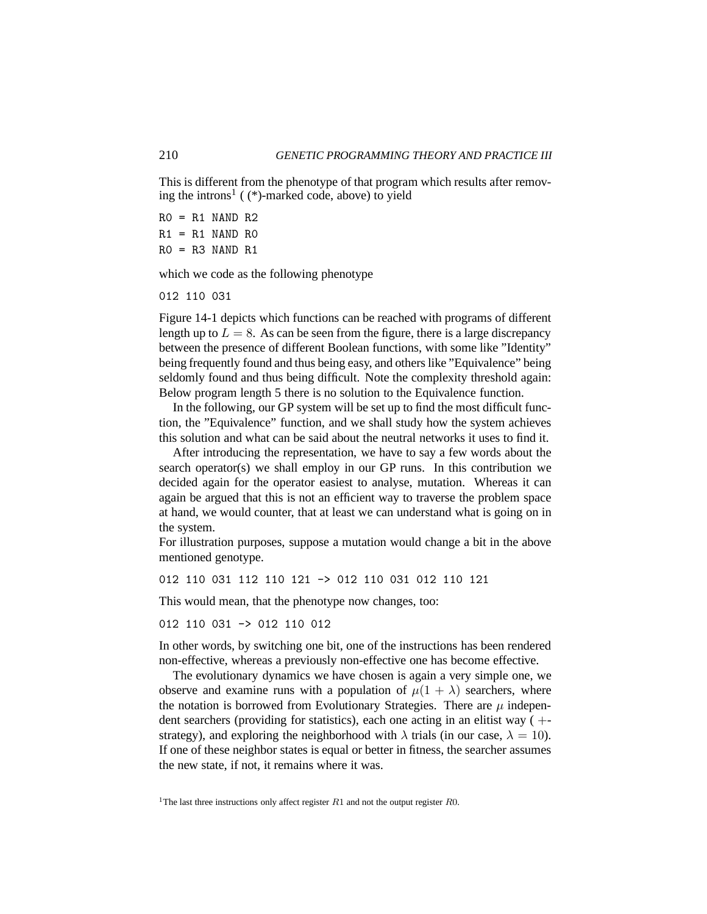This is different from the phenotype of that program which results after removing the introns<sup>1</sup> ((\*)-marked code, above) to yield

 $RO = R1$  NAND  $R2$  $R1 = R1$  NAND RO  $RO = R3$  NAND  $R1$ 

which we code as the following phenotype

012 110 031

Figure 14-1 depicts which functions can be reached with programs of different length up to  $L = 8$ . As can be seen from the figure, there is a large discrepancy between the presence of different Boolean functions, with some like "Identity" being frequently found and thus being easy, and others like "Equivalence" being seldomly found and thus being difficult. Note the complexity threshold again: Below program length 5 there is no solution to the Equivalence function.

In the following, our GP system will be set up to find the most difficult function, the "Equivalence" function, and we shall study how the system achieves this solution and what can be said about the neutral networks it uses to find it.

After introducing the representation, we have to say a few words about the search operator(s) we shall employ in our GP runs. In this contribution we decided again for the operator easiest to analyse, mutation. Whereas it can again be argued that this is not an efficient way to traverse the problem space at hand, we would counter, that at least we can understand what is going on in the system.

For illustration purposes, suppose a mutation would change a bit in the above mentioned genotype.

012 110 031 112 110 121 -> 012 110 031 012 110 121

This would mean, that the phenotype now changes, too:

012 110 031 -> 012 110 012

In other words, by switching one bit, one of the instructions has been rendered non-effective, whereas a previously non-effective one has become effective.

The evolutionary dynamics we have chosen is again a very simple one, we observe and examine runs with a population of  $\mu(1 + \lambda)$  searchers, where the notation is borrowed from Evolutionary Strategies. There are  $\mu$  independent searchers (providing for statistics), each one acting in an elitist way  $( +$ strategy), and exploring the neighborhood with  $\lambda$  trials (in our case,  $\lambda = 10$ ). If one of these neighbor states is equal or better in fitness, the searcher assumes the new state, if not, it remains where it was.

<sup>1</sup>The last three instructions only affect register  $R1$  and not the output register  $R0$ .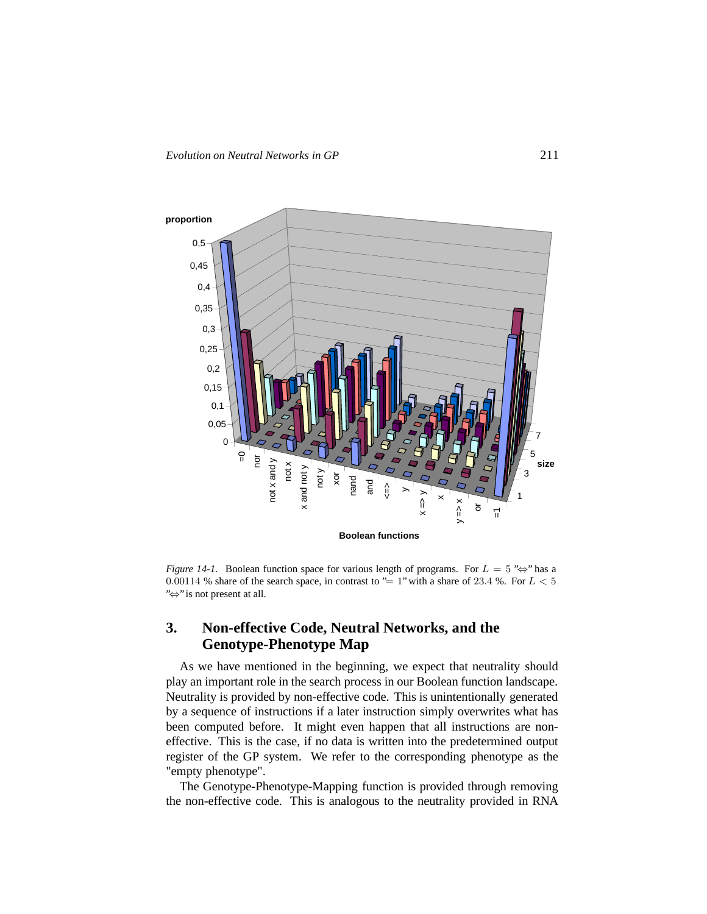

*Figure* 14-1. Boolean function space for various length of programs. For  $L = 5$  " $\Leftrightarrow$ " has a 0.00114 % share of the search space, in contrast to "= 1" with a share of 23.4 %. For  $L < 5$ "⇔" is not present at all.

# **3. Non-effective Code, Neutral Networks, and the Genotype-Phenotype Map**

As we have mentioned in the beginning, we expect that neutrality should play an important role in the search process in our Boolean function landscape. Neutrality is provided by non-effective code. This is unintentionally generated by a sequence of instructions if a later instruction simply overwrites what has been computed before. It might even happen that all instructions are noneffective. This is the case, if no data is written into the predetermined output register of the GP system. We refer to the corresponding phenotype as the "empty phenotype".

The Genotype-Phenotype-Mapping function is provided through removing the non-effective code. This is analogous to the neutrality provided in RNA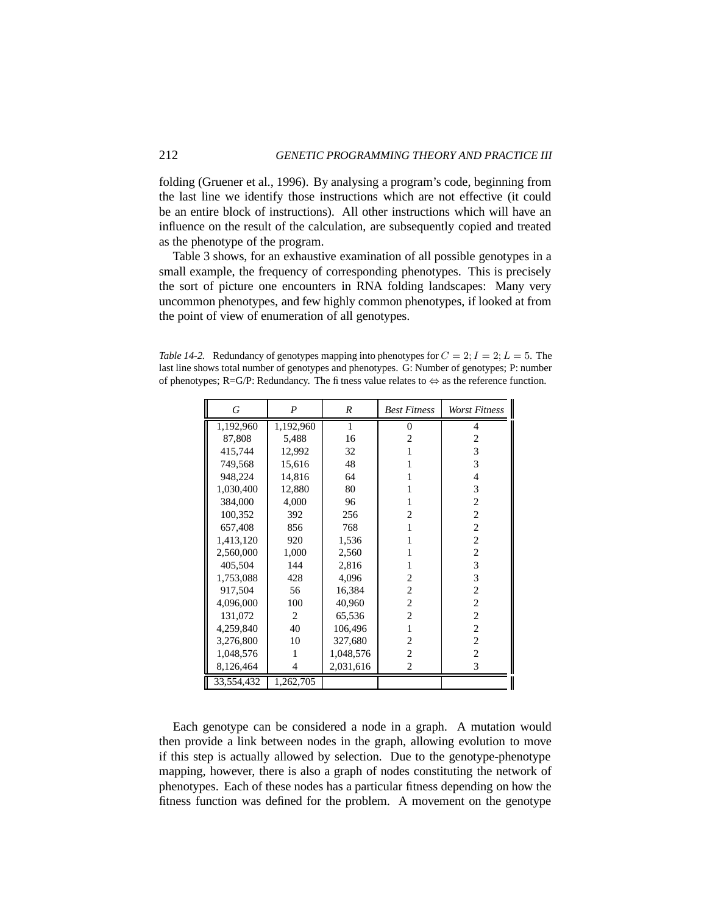folding (Gruener et al., 1996). By analysing a program's code, beginning from the last line we identify those instructions which are not effective (it could be an entire block of instructions). All other instructions which will have an influence on the result of the calculation, are subsequently copied and treated as the phenotype of the program.

Table 3 shows, for an exhaustive examination of all possible genotypes in a small example, the frequency of corresponding phenotypes. This is precisely the sort of picture one encounters in RNA folding landscapes: Many very uncommon phenotypes, and few highly common phenotypes, if looked at from the point of view of enumeration of all genotypes.

*Table* 14-2. Redundancy of genotypes mapping into phenotypes for  $C = 2$ ;  $I = 2$ ;  $L = 5$ . The last line shows total number of genotypes and phenotypes. G: Number of genotypes; P: number of phenotypes; R=G/P: Redundancy. The fitness value relates to  $\Leftrightarrow$  as the reference function.

| G          | P              | $\boldsymbol{R}$ | <b>Best Fitness</b> | Worst Fitness  |
|------------|----------------|------------------|---------------------|----------------|
| 1,192,960  | 1,192,960      | 1                | $\theta$            | 4              |
| 87,808     | 5,488          | 16               | $\overline{c}$      | 2              |
| 415,744    | 12,992         | 32               | 1                   | 3              |
| 749,568    | 15,616         | 48               | 1                   | 3              |
| 948,224    | 14,816         | 64               | 1                   | 4              |
| 1,030,400  | 12,880         | 80               | 1                   | 3              |
| 384,000    | 4,000          | 96               | 1                   | $\overline{c}$ |
| 100,352    | 392            | 256              | 2                   | $\overline{2}$ |
| 657,408    | 856            | 768              | 1                   | $\overline{2}$ |
| 1,413,120  | 920            | 1,536            | 1                   | $\overline{c}$ |
| 2,560,000  | 1,000          | 2,560            | 1                   | $\overline{c}$ |
| 405,504    | 144            | 2,816            | 1                   | 3              |
| 1,753,088  | 428            | 4,096            | 2                   | 3              |
| 917,504    | 56             | 16,384           | 2                   | $\overline{c}$ |
| 4,096,000  | 100            | 40,960           | 2                   | $\overline{c}$ |
| 131,072    | $\overline{2}$ | 65,536           | $\overline{c}$      | $\overline{c}$ |
| 4,259,840  | 40             | 106,496          | 1                   | $\overline{2}$ |
| 3,276,800  | 10             | 327,680          | $\overline{c}$      | $\overline{c}$ |
| 1,048,576  | 1              | 1,048,576        | $\overline{c}$      | $\overline{2}$ |
| 8,126,464  | 4              | 2,031,616        | $\overline{c}$      | 3              |
| 33,554,432 | 1,262,705      |                  |                     |                |

Each genotype can be considered a node in a graph. A mutation would then provide a link between nodes in the graph, allowing evolution to move if this step is actually allowed by selection. Due to the genotype-phenotype mapping, however, there is also a graph of nodes constituting the network of phenotypes. Each of these nodes has a particular fitness depending on how the fitness function was defined for the problem. A movement on the genotype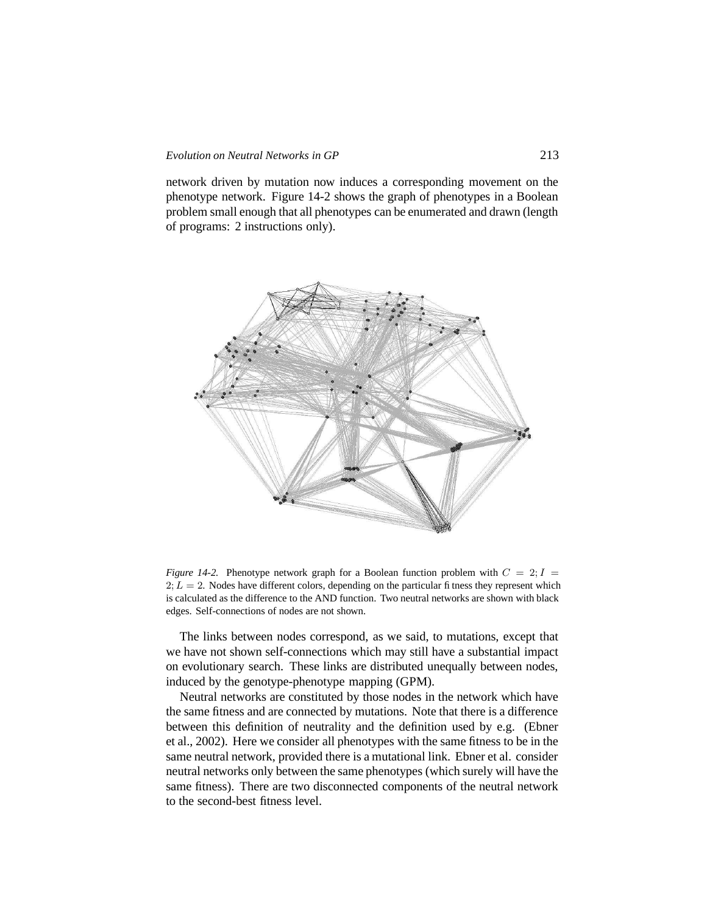#### *Evolution on Neutral Networks in GP* 213

network driven by mutation now induces a corresponding movement on the phenotype network. Figure 14-2 shows the graph of phenotypes in a Boolean problem small enough that all phenotypes can be enumerated and drawn (length of programs: 2 instructions only).



*Figure* 14-2. Phenotype network graph for a Boolean function problem with  $C = 2$ ;  $I =$  $2; L = 2$ . Nodes have different colors, depending on the particular fitness they represent which is calculated as the difference to the AND function. Two neutral networks are shown with black edges. Self-connections of nodes are not shown.

The links between nodes correspond, as we said, to mutations, except that we have not shown self-connections which may still have a substantial impact on evolutionary search. These links are distributed unequally between nodes, induced by the genotype-phenotype mapping (GPM).

Neutral networks are constituted by those nodes in the network which have the same fitness and are connected by mutations. Note that there is a difference between this definition of neutrality and the definition used by e.g. (Ebner et al., 2002). Here we consider all phenotypes with the same fitness to be in the same neutral network, provided there is a mutational link. Ebner et al. consider neutral networks only between the same phenotypes (which surely will have the same fitness). There are two disconnected components of the neutral network to the second-best fitness level.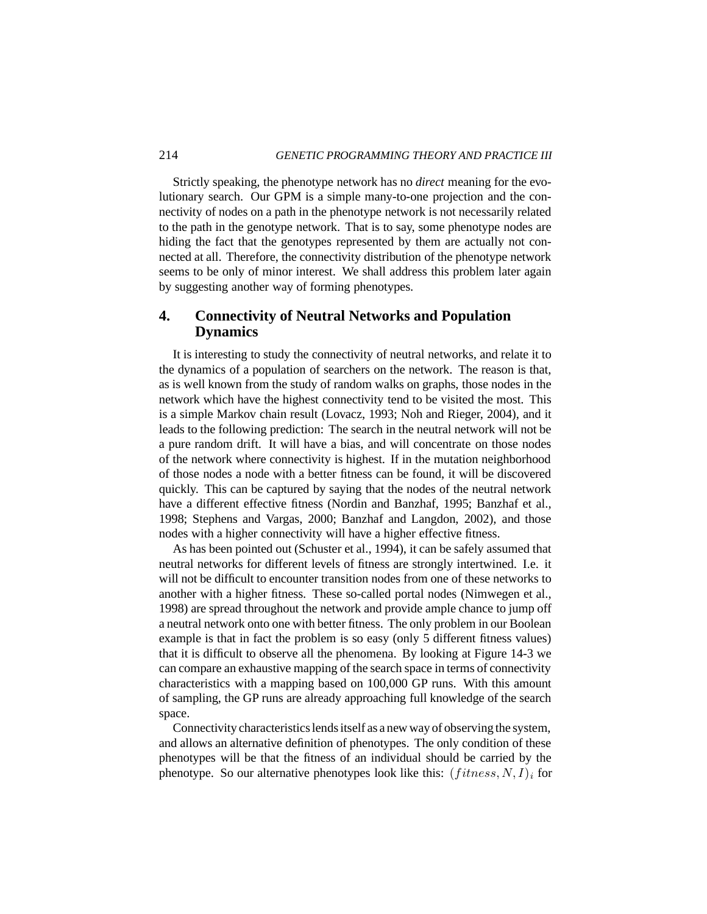Strictly speaking, the phenotype network has no *direct* meaning for the evolutionary search. Our GPM is a simple many-to-one projection and the connectivity of nodes on a path in the phenotype network is not necessarily related to the path in the genotype network. That is to say, some phenotype nodes are hiding the fact that the genotypes represented by them are actually not connected at all. Therefore, the connectivity distribution of the phenotype network seems to be only of minor interest. We shall address this problem later again by suggesting another way of forming phenotypes.

# **4. Connectivity of Neutral Networks and Population Dynamics**

It is interesting to study the connectivity of neutral networks, and relate it to the dynamics of a population of searchers on the network. The reason is that, as is well known from the study of random walks on graphs, those nodes in the network which have the highest connectivity tend to be visited the most. This is a simple Markov chain result (Lovacz, 1993; Noh and Rieger, 2004), and it leads to the following prediction: The search in the neutral network will not be a pure random drift. It will have a bias, and will concentrate on those nodes of the network where connectivity is highest. If in the mutation neighborhood of those nodes a node with a better fitness can be found, it will be discovered quickly. This can be captured by saying that the nodes of the neutral network have a different effective fitness (Nordin and Banzhaf, 1995; Banzhaf et al., 1998; Stephens and Vargas, 2000; Banzhaf and Langdon, 2002), and those nodes with a higher connectivity will have a higher effective fitness.

As has been pointed out (Schuster et al., 1994), it can be safely assumed that neutral networks for different levels of fitness are strongly intertwined. I.e. it will not be difficult to encounter transition nodes from one of these networks to another with a higher fitness. These so-called portal nodes (Nimwegen et al., 1998) are spread throughout the network and provide ample chance to jump off a neutral network onto one with better fitness. The only problem in our Boolean example is that in fact the problem is so easy (only 5 different fitness values) that it is difficult to observe all the phenomena. By looking at Figure 14-3 we can compare an exhaustive mapping of the search space in terms of connectivity characteristics with a mapping based on 100,000 GP runs. With this amount of sampling, the GP runs are already approaching full knowledge of the search space.

Connectivity characteristics lends itself as a new way of observing the system, and allows an alternative definition of phenotypes. The only condition of these phenotypes will be that the fitness of an individual should be carried by the phenotype. So our alternative phenotypes look like this:  $(fitness, N, I)_i$  for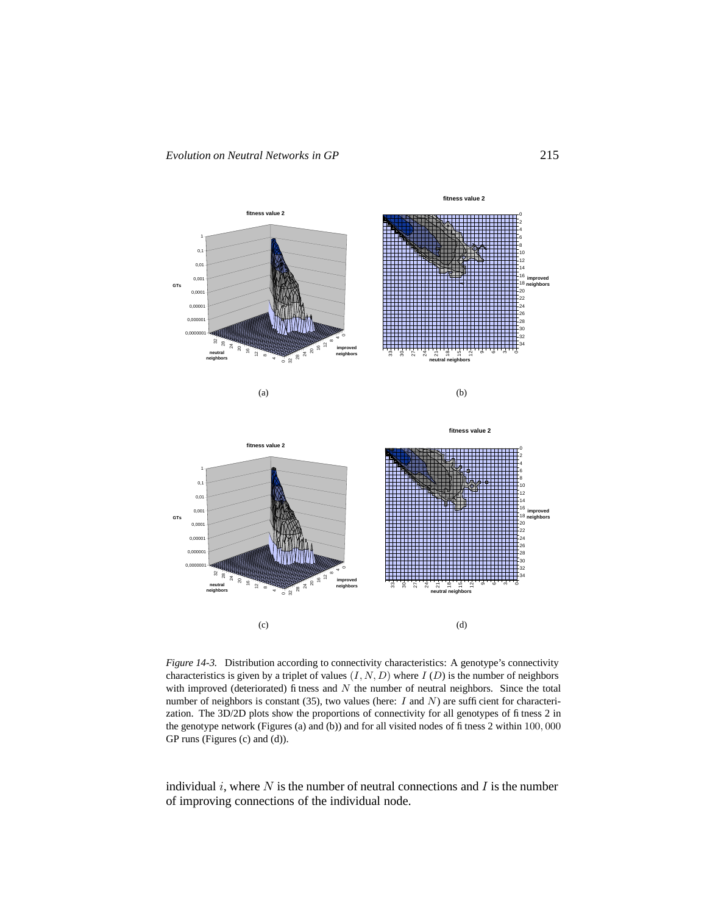

*Figure 14-3.* Distribution according to connectivity characteristics: A genotype's connectivity characteristics is given by a triplet of values  $(I, N, D)$  where  $I(D)$  is the number of neighbors with improved (deteriorated) fitness and  $N$  the number of neutral neighbors. Since the total number of neighbors is constant (35), two values (here:  $I$  and  $N$ ) are sufficient for characterization. The 3D/2D plots show the proportions of connectivity for all genotypes of fitness 2 in the genotype network (Figures (a) and (b)) and for all visited nodes of fitness 2 within 100, 000 GP runs (Figures (c) and (d)).

individual  $i$ , where  $N$  is the number of neutral connections and  $I$  is the number of improving connections of the individual node.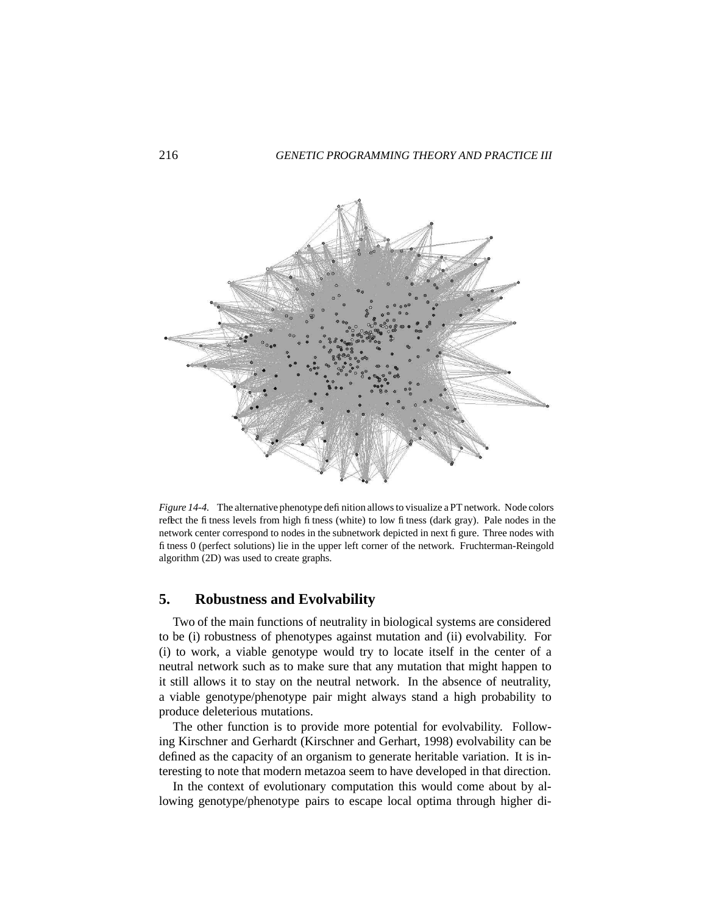

*Figure 14-4.* The alternative phenotype definition allowsto visualize a PT network. Node colors reflect the fitness levels from high fitness (white) to low fitness (dark gray). Pale nodes in the network center correspond to nodes in the subnetwork depicted in next figure. Three nodes with fitness 0 (perfect solutions) lie in the upper left corner of the network. Fruchterman-Reingold algorithm (2D) was used to create graphs.

# **5. Robustness and Evolvability**

Two of the main functions of neutrality in biological systems are considered to be (i) robustness of phenotypes against mutation and (ii) evolvability. For (i) to work, a viable genotype would try to locate itself in the center of a neutral network such as to make sure that any mutation that might happen to it still allows it to stay on the neutral network. In the absence of neutrality, a viable genotype/phenotype pair might always stand a high probability to produce deleterious mutations.

The other function is to provide more potential for evolvability. Following Kirschner and Gerhardt (Kirschner and Gerhart, 1998) evolvability can be defined as the capacity of an organism to generate heritable variation. It is interesting to note that modern metazoa seem to have developed in that direction.

In the context of evolutionary computation this would come about by allowing genotype/phenotype pairs to escape local optima through higher di-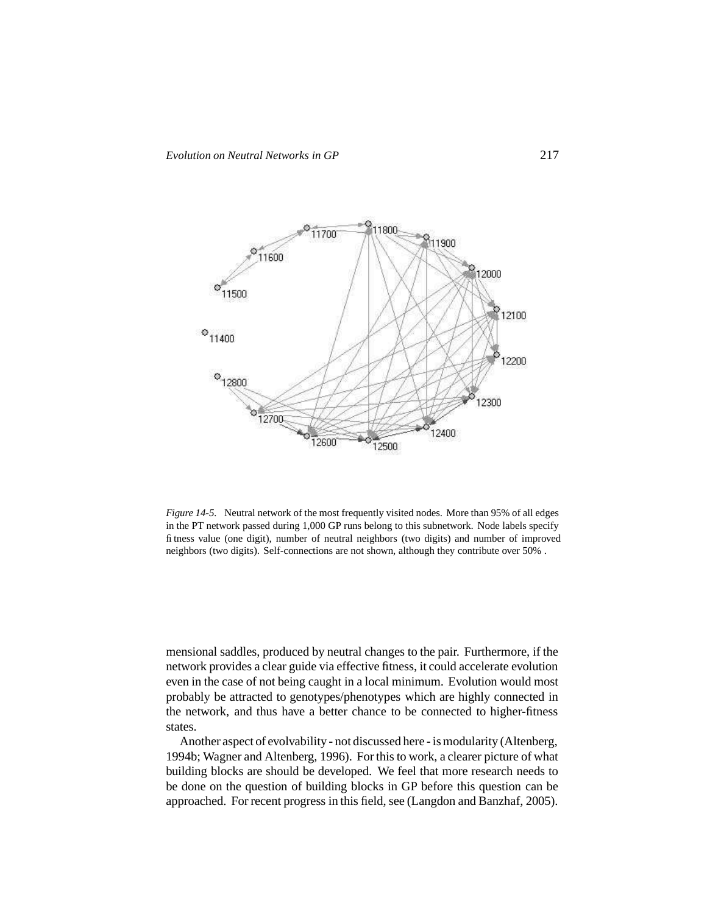

*Figure 14-5.* Neutral network of the most frequently visited nodes. More than 95% of all edges in the PT network passed during 1,000 GP runs belong to this subnetwork. Node labels specify fitness value (one digit), number of neutral neighbors (two digits) and number of improved neighbors (two digits). Self-connections are not shown, although they contribute over 50% .

mensional saddles, produced by neutral changes to the pair. Furthermore, if the network provides a clear guide via effective fitness, it could accelerate evolution even in the case of not being caught in a local minimum. Evolution would most probably be attracted to genotypes/phenotypes which are highly connected in the network, and thus have a better chance to be connected to higher-fitness states.

Another aspect of evolvability - not discussed here - is modularity (Altenberg, 1994b; Wagner and Altenberg, 1996). For this to work, a clearer picture of what building blocks are should be developed. We feel that more research needs to be done on the question of building blocks in GP before this question can be approached. For recent progress in this field, see (Langdon and Banzhaf, 2005).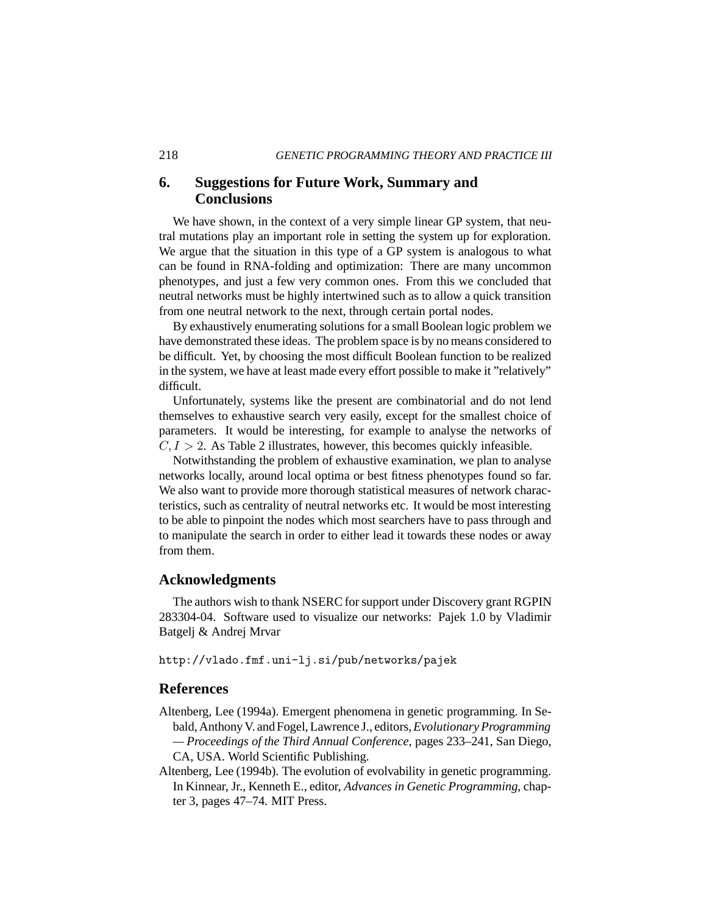# **6. Suggestions for Future Work, Summary and Conclusions**

We have shown, in the context of a very simple linear GP system, that neutral mutations play an important role in setting the system up for exploration. We argue that the situation in this type of a GP system is analogous to what can be found in RNA-folding and optimization: There are many uncommon phenotypes, and just a few very common ones. From this we concluded that neutral networks must be highly intertwined such as to allow a quick transition from one neutral network to the next, through certain portal nodes.

By exhaustively enumerating solutions for a small Boolean logic problem we have demonstrated these ideas. The problem space is by no means considered to be difficult. Yet, by choosing the most difficult Boolean function to be realized in the system, we have at least made every effort possible to make it "relatively" difficult.

Unfortunately, systems like the present are combinatorial and do not lend themselves to exhaustive search very easily, except for the smallest choice of parameters. It would be interesting, for example to analyse the networks of  $C, I > 2$ . As Table 2 illustrates, however, this becomes quickly infeasible.

Notwithstanding the problem of exhaustive examination, we plan to analyse networks locally, around local optima or best fitness phenotypes found so far. We also want to provide more thorough statistical measures of network characteristics, such as centrality of neutral networks etc. It would be most interesting to be able to pinpoint the nodes which most searchers have to pass through and to manipulate the search in order to either lead it towards these nodes or away from them.

## **Acknowledgments**

The authors wish to thank NSERC for support under Discovery grant RGPIN 283304-04. Software used to visualize our networks: Pajek 1.0 by Vladimir Batgelj & Andrej Mrvar

http://vlado.fmf.uni-lj.si/pub/networks/pajek

#### **References**

- Altenberg, Lee (1994a). Emergent phenomena in genetic programming. In Sebald,AnthonyV. and Fogel,Lawrence J., editors,*Evolutionary Programming — Proceedings of the Third Annual Conference*, pages 233–241, San Diego, CA, USA. World Scientific Publishing.
- Altenberg, Lee (1994b). The evolution of evolvability in genetic programming. In Kinnear, Jr., Kenneth E., editor, *Advances in Genetic Programming*, chapter 3, pages 47–74. MIT Press.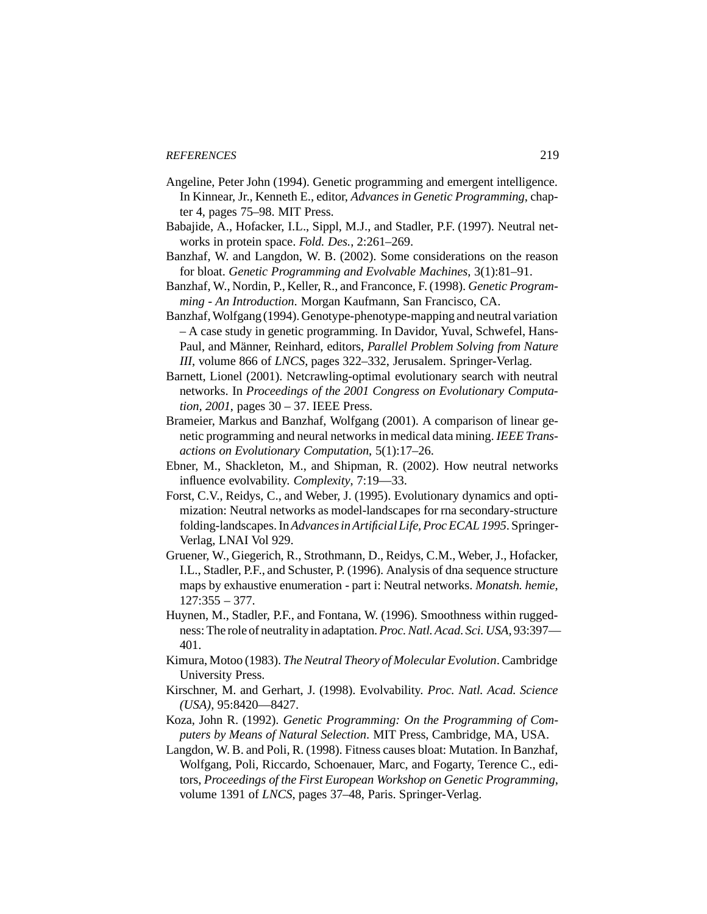- Angeline, Peter John (1994). Genetic programming and emergent intelligence. In Kinnear, Jr., Kenneth E., editor, *Advances in Genetic Programming*, chapter 4, pages 75–98. MIT Press.
- Babajide, A., Hofacker, I.L., Sippl, M.J., and Stadler, P.F. (1997). Neutral networks in protein space. *Fold. Des.*, 2:261–269.
- Banzhaf, W. and Langdon, W. B. (2002). Some considerations on the reason for bloat. *Genetic Programming and Evolvable Machines*, 3(1):81–91.
- Banzhaf, W., Nordin, P., Keller, R., and Franconce, F. (1998). *Genetic Programming - An Introduction*. Morgan Kaufmann, San Francisco, CA.
- Banzhaf, Wolfgang (1994). Genotype-phenotype-mapping and neutral variation – A case study in genetic programming. In Davidor, Yuval, Schwefel, Hans-Paul, and Männer, Reinhard, editors, *Parallel Problem Solving from Nature III*, volume 866 of *LNCS*, pages 322–332, Jerusalem. Springer-Verlag.
- Barnett, Lionel (2001). Netcrawling-optimal evolutionary search with neutral networks. In *Proceedings of the 2001 Congress on Evolutionary Computation, 2001*, pages 30 – 37. IEEE Press.
- Brameier, Markus and Banzhaf, Wolfgang (2001). A comparison of linear genetic programming and neural networks in medical data mining. *IEEE Transactions on Evolutionary Computation*, 5(1):17–26.
- Ebner, M., Shackleton, M., and Shipman, R. (2002). How neutral networks influence evolvability. *Complexity*, 7:19—33.
- Forst, C.V., Reidys, C., and Weber, J. (1995). Evolutionary dynamics and optimization: Neutral networks as model-landscapes for rna secondary-structure folding-landscapes.In*Advancesin Artificial Life,ProcECAL 1995*. Springer-Verlag, LNAI Vol 929.
- Gruener, W., Giegerich, R., Strothmann, D., Reidys, C.M., Weber, J., Hofacker, I.L., Stadler, P.F., and Schuster, P. (1996). Analysis of dna sequence structure maps by exhaustive enumeration - part i: Neutral networks. *Monatsh. hemie*, 127:355 – 377.
- Huynen, M., Stadler, P.F., and Fontana, W. (1996). Smoothness within ruggedness:The role of neutrality in adaptation.*Proc.Natl.Acad. Sci.USA*, 93:397— 401.
- Kimura, Motoo (1983). *The Neutral Theory of Molecular Evolution*. Cambridge University Press.
- Kirschner, M. and Gerhart, J. (1998). Evolvability. *Proc. Natl. Acad. Science (USA)*, 95:8420—8427.
- Koza, John R. (1992). *Genetic Programming: On the Programming of Computers by Means of Natural Selection*. MIT Press, Cambridge, MA, USA.
- Langdon, W. B. and Poli, R. (1998). Fitness causes bloat: Mutation. In Banzhaf, Wolfgang, Poli, Riccardo, Schoenauer, Marc, and Fogarty, Terence C., editors, *Proceedings of the First European Workshop on Genetic Programming*, volume 1391 of *LNCS*, pages 37–48, Paris. Springer-Verlag.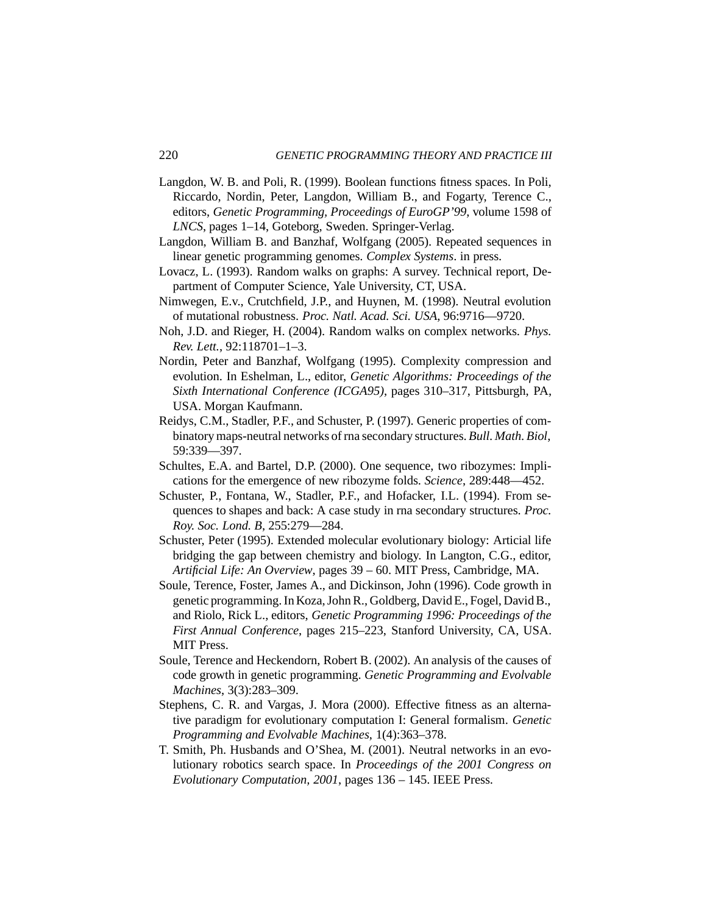- Langdon, W. B. and Poli, R. (1999). Boolean functions fitness spaces. In Poli, Riccardo, Nordin, Peter, Langdon, William B., and Fogarty, Terence C., editors, *Genetic Programming, Proceedings of EuroGP'99*, volume 1598 of *LNCS*, pages 1–14, Goteborg, Sweden. Springer-Verlag.
- Langdon, William B. and Banzhaf, Wolfgang (2005). Repeated sequences in linear genetic programming genomes. *Complex Systems*. in press.
- Lovacz, L. (1993). Random walks on graphs: A survey. Technical report, Department of Computer Science, Yale University, CT, USA.
- Nimwegen, E.v., Crutchfield, J.P., and Huynen, M. (1998). Neutral evolution of mutational robustness. *Proc. Natl. Acad. Sci. USA*, 96:9716—9720.
- Noh, J.D. and Rieger, H. (2004). Random walks on complex networks. *Phys. Rev. Lett.*, 92:118701–1–3.
- Nordin, Peter and Banzhaf, Wolfgang (1995). Complexity compression and evolution. In Eshelman, L., editor, *Genetic Algorithms: Proceedings of the Sixth International Conference (ICGA95)*, pages 310–317, Pittsburgh, PA, USA. Morgan Kaufmann.
- Reidys, C.M., Stadler, P.F., and Schuster, P. (1997). Generic properties of combinatorymaps-neutral networks of rna secondary structures. *Bull. Math. Biol*, 59:339—397.
- Schultes, E.A. and Bartel, D.P. (2000). One sequence, two ribozymes: Implications for the emergence of new ribozyme folds. *Science*, 289:448—452.
- Schuster, P., Fontana, W., Stadler, P.F., and Hofacker, I.L. (1994). From sequences to shapes and back: A case study in rna secondary structures. *Proc. Roy. Soc. Lond. B*, 255:279—284.
- Schuster, Peter (1995). Extended molecular evolutionary biology: Articial life bridging the gap between chemistry and biology. In Langton, C.G., editor, *Artificial Life: An Overview*, pages 39 – 60. MIT Press, Cambridge, MA.
- Soule, Terence, Foster, James A., and Dickinson, John (1996). Code growth in genetic programming. In Koza, John R., Goldberg, David E., Fogel, David B., and Riolo, Rick L., editors, *Genetic Programming 1996: Proceedings of the First Annual Conference*, pages 215–223, Stanford University, CA, USA. MIT Press.
- Soule, Terence and Heckendorn, Robert B. (2002). An analysis of the causes of code growth in genetic programming. *Genetic Programming and Evolvable Machines*, 3(3):283–309.
- Stephens, C. R. and Vargas, J. Mora (2000). Effective fitness as an alternative paradigm for evolutionary computation I: General formalism. *Genetic Programming and Evolvable Machines*, 1(4):363–378.
- T. Smith, Ph. Husbands and O'Shea, M. (2001). Neutral networks in an evolutionary robotics search space. In *Proceedings of the 2001 Congress on Evolutionary Computation, 2001*, pages 136 – 145. IEEE Press.